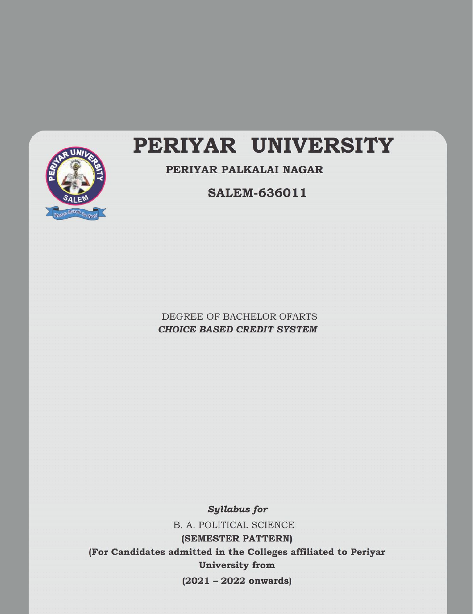

# **PERIYAR UNIVERSITY**

**PERIYAR PALKALAI NAGAR**

**SALEM-636011**

DEGREE OF BACHELOR OFARTS *CHOICE BASED CREDIT SYSTEM*

*Syllabus for* B. A. POLITICAL SCIENCE **(SEMESTER PATTERN) (For Candidates admitted in the Colleges affiliated to Periyar University from (2021 – 2022 onwards)**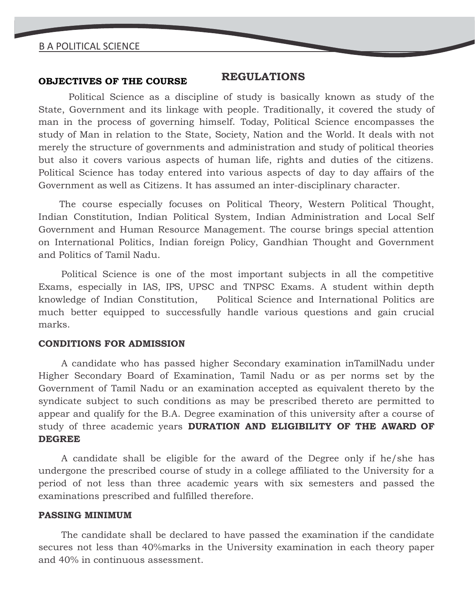## **OBJECTIVES OF THE COURSE REGULATIONS**

Political Science as a discipline of study is basically known as study of the State, Government and its linkage with people. Traditionally, it covered the study of man in the process of governing himself. Today, Political Science encompasses the study of Man in relation to the State, Society, Nation and the World. It deals with not merely the structure of governments and administration and study of political theories but also it covers various aspects of human life, rights and duties of the citizens. Political Science has today entered into various aspects of day to day affairs of the Government as well as Citizens. It has assumed an inter-disciplinary character.

The course especially focuses on Political Theory, Western Political Thought, Indian Constitution, Indian Political System, Indian Administration and Local Self Government and Human Resource Management. The course brings special attention on International Politics, Indian foreign Policy, Gandhian Thought and Government and Politics of Tamil Nadu.

Political Science is one of the most important subjects in all the competitive Exams, especially in IAS, IPS, UPSC and TNPSC Exams. A student within depth knowledge of Indian Constitution, Political Science and International Politics are much better equipped to successfully handle various questions and gain crucial marks.

#### **CONDITIONS FOR ADMISSION**

A candidate who has passed higher Secondary examination inTamilNadu under Higher Secondary Board of Examination, Tamil Nadu or as per norms set by the Government of Tamil Nadu or an examination accepted as equivalent thereto by the syndicate subject to such conditions as may be prescribed thereto are permitted to appear and qualify for the B.A. Degree examination of this university after a course of study of three academic years **DURATION AND ELIGIBILITY OF THE AWARD OF DEGREE**

A candidate shall be eligible for the award of the Degree only if he/she has undergone the prescribed course of study in a college affiliated to the University for a period of not less than three academic years with six semesters and passed the examinations prescribed and fulfilled therefore.

#### **PASSING MINIMUM**

The candidate shall be declared to have passed the examination if the candidate secures not less than 40%marks in the University examination in each theory paper and 40% in continuous assessment.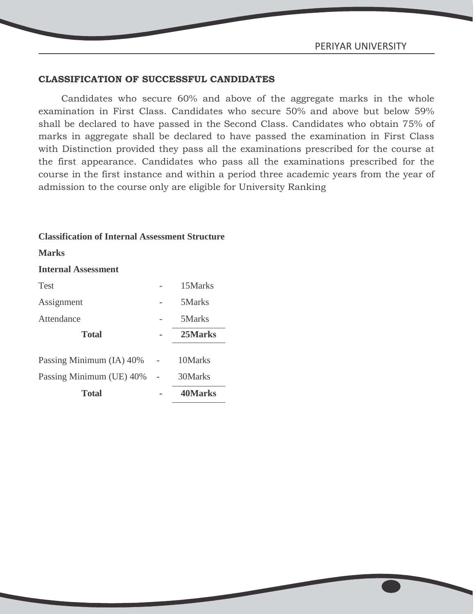#### **CLASSIFICATION OF SUCCESSFUL CANDIDATES**

Candidates who secure 60% and above of the aggregate marks in the whole examination in First Class. Candidates who secure 50% and above but below 59% shall be declared to have passed in the Second Class. Candidates who obtain 75% of marks in aggregate shall be declared to have passed the examination in First Class with Distinction provided they pass all the examinations prescribed for the course at the first appearance. Candidates who pass all the examinations prescribed for the course in the first instance and within a period three academic years from the year of admission to the course only are eligible for University Ranking

#### **Classification of Internal Assessment Structure**

#### **Marks**

#### **Internal Assessment**

| Total                    | <b>40Marks</b> |
|--------------------------|----------------|
| Passing Minimum (UE) 40% | 30Marks        |
| Passing Minimum (IA) 40% | 10Marks        |
| <b>Total</b>             | 25Marks        |
| Attendance               | 5Marks         |
| Assignment               | 5Marks         |
| <b>Test</b>              | 15Marks        |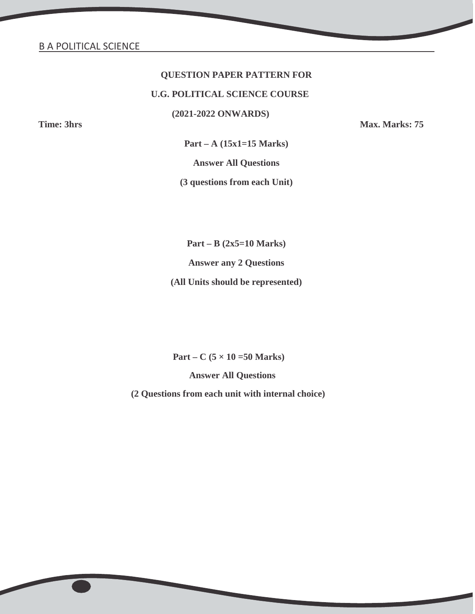## **QUESTION PAPER PATTERN FOR U.G. POLITICAL SCIENCE COURSE**

**(2021-2022 ONWARDS)**

**Time: 3hrs Max. Marks: 75**

**Part – A (15x1=15 Marks)**

**Answer All Questions**

**(3 questions from each Unit)**

**Part – B (2x5=10 Marks)**

**Answer any 2 Questions**

**(All Units should be represented)**

**Part – C (5 × 10 =50 Marks)**

**Answer All Questions**

**(2 Questions from each unit with internal choice)**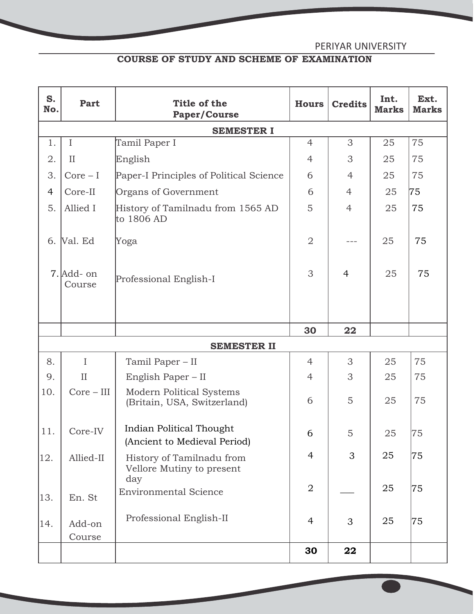PERIYAR UNIVERSITY

## **COURSE OF STUDY AND SCHEME OF EXAMINATION**

| S.<br>No.      | Part                   | <b>Title of the</b><br><b>Paper/Course</b>                      | <b>Hours</b>        | <b>Credits</b> | Int.<br><b>Marks</b> | Ext.<br><b>Marks</b> |
|----------------|------------------------|-----------------------------------------------------------------|---------------------|----------------|----------------------|----------------------|
|                |                        | <b>SEMESTER I</b>                                               |                     |                |                      |                      |
| 1.             | $\mathbf I$            | Tamil Paper I                                                   | $\overline{4}$      | 3              | 25                   | 75                   |
| 2.             | $\rm II$               | English                                                         | $\overline{4}$      | 3              | 25                   | 75                   |
| 3.             | $Core-I$               | Paper-I Principles of Political Science                         | 6                   | $\overline{4}$ | 25                   | 75                   |
| $\overline{4}$ | Core-II                | Organs of Government                                            | 6                   | $\overline{4}$ | 25                   | 75                   |
| 5.             | Allied I               | History of Tamilnadu from 1565 AD<br>to 1806 AD                 | 5                   | $\overline{4}$ | 25                   | 75                   |
| 6.             | Val. Ed                | Yoga                                                            | $\sqrt{2}$          |                | 25                   | 75                   |
|                | $7.$ Add- on<br>Course | Professional English-I                                          | 3                   | $\overline{4}$ | 25                   | 75                   |
|                |                        |                                                                 |                     |                |                      |                      |
|                |                        |                                                                 | 30                  | 22             |                      |                      |
| 8.             |                        | <b>SEMESTER II</b>                                              |                     | 3              |                      | 75                   |
| 9.             | I<br>$\rm II$          | Tamil Paper - II<br>English Paper - II                          | $\overline{4}$<br>4 | 3              | 25<br>25             | 75                   |
| 10.            | $Core - III$           | Modern Political Systems<br>(Britain, USA, Switzerland)         | 6                   | 5              | 25                   | 75                   |
| 11.            | Core-IV                | <b>Indian Political Thought</b><br>(Ancient to Medieval Period) | 6                   | 5              | $25\,$               | 75                   |
| 12.            | Allied-II              | History of Tamilnadu from<br>Vellore Mutiny to present<br>day   | $\overline{4}$      | 3              | 25                   | 75                   |
| 13.            | En. St                 | <b>Environmental Science</b>                                    | $\sqrt{2}$          |                | 25                   | 75                   |
| 14.            | Add-on<br>Course       | Professional English-II                                         | $\overline{4}$      | 3              | 25                   | 75                   |
|                |                        |                                                                 | 30                  | 22             |                      |                      |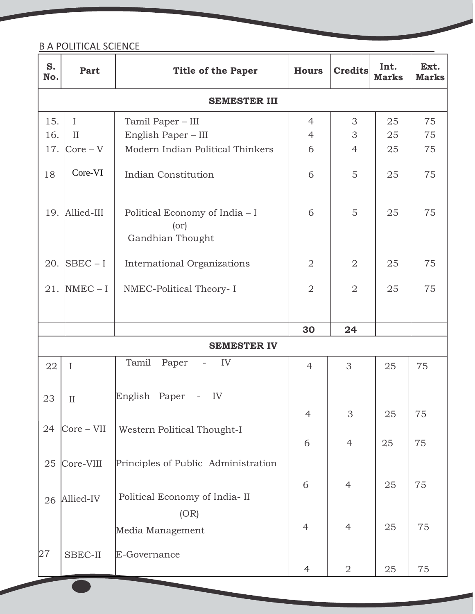| S.<br>No. | Part              | <b>Title of the Paper</b>                                  | <b>Hours</b>   | <b>Credits</b> | Int.<br><b>Marks</b> | Ext.<br><b>Marks</b> |
|-----------|-------------------|------------------------------------------------------------|----------------|----------------|----------------------|----------------------|
|           |                   | <b>SEMESTER III</b>                                        |                |                |                      |                      |
| 15.       | $\rm I$           | Tamil Paper - III                                          | 4              | 3              | 25                   | 75                   |
| 16.       | $\rm II$          | English Paper - III                                        | 4              | 3              | 25                   | 75                   |
| 17.       | $Core - V$        | Modern Indian Political Thinkers                           | 6              | $\overline{4}$ | 25                   | 75                   |
| 18        | Core-VI           | <b>Indian Constitution</b>                                 | 6              | 5              | 25                   | 75                   |
|           | 19. Allied-III    | Political Economy of India - I<br>(or)<br>Gandhian Thought | 6              | 5              | 25                   | 75                   |
| 20.       | $SBEC - I$        | <b>International Organizations</b>                         | $\overline{2}$ | $\overline{2}$ | 25                   | 75                   |
| 21.       | $NMEC - I$        | NMEC-Political Theory- I                                   | $\overline{2}$ | $\overline{2}$ | 25                   | 75                   |
|           |                   |                                                            | 30             | 24             |                      |                      |
|           |                   | <b>SEMESTER IV</b>                                         |                |                |                      |                      |
| 22        | $\rm I$           | Tamil<br>Paper<br>IV<br>$\overline{\phantom{a}}$           | 4              | 3              | 25                   | 75                   |
| 23        | $\rm II$          | English Paper<br>IV<br>$\equiv$                            |                |                |                      |                      |
|           |                   |                                                            | 4              | 3              | 25                   | 75                   |
| 24        | $Core - VII$      | Western Political Thought-I                                | 6              | $\overline{4}$ | 25                   | 75                   |
| 25        | Core-VIII         | Principles of Public Administration                        |                |                |                      |                      |
|           | $26\,$  Allied-IV | Political Economy of India-II                              | 6              | $\overline{4}$ | 25                   | 75                   |
|           |                   | (OR)                                                       | $\overline{4}$ | $\overline{4}$ | 25                   | 75                   |
|           |                   | Media Management                                           |                |                |                      |                      |
| 27        | SBEC-II           | E-Governance                                               | $\overline{4}$ | $\overline{2}$ | 25                   | 75                   |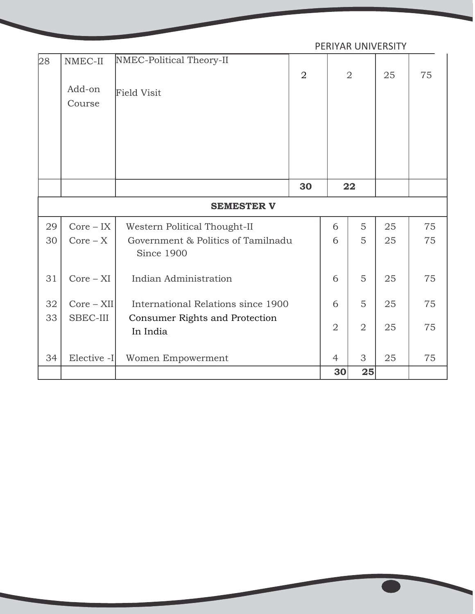|    |              | PERIYAR UNIVERSITY                               |                |                |                |    |    |
|----|--------------|--------------------------------------------------|----------------|----------------|----------------|----|----|
| 28 | NMEC-II      | NMEC-Political Theory-II                         |                |                |                |    |    |
|    |              |                                                  | $\overline{2}$ |                | $\overline{2}$ | 25 | 75 |
|    | Add-on       | <b>Field Visit</b>                               |                |                |                |    |    |
|    | Course       |                                                  |                |                |                |    |    |
|    |              |                                                  |                |                |                |    |    |
|    |              |                                                  |                |                |                |    |    |
|    |              |                                                  |                |                |                |    |    |
|    |              |                                                  |                |                |                |    |    |
|    |              |                                                  | 30             |                | 22             |    |    |
|    |              | <b>SEMESTER V</b>                                |                |                |                |    |    |
| 29 | $Core - IX$  | Western Political Thought-II                     |                | 6              | 5              | 25 | 75 |
| 30 | $Core - X$   | Government & Politics of Tamilnadu<br>Since 1900 |                | 6              | 5              | 25 | 75 |
| 31 | $Core - XI$  | Indian Administration                            |                | 6              | 5              | 25 | 75 |
| 32 | $Core - XII$ | International Relations since 1900               |                | 6              | 5              | 25 | 75 |
| 33 | SBEC-III     | Consumer Rights and Protection<br>In India       |                | $\overline{2}$ | $\overline{2}$ | 25 | 75 |
|    |              |                                                  |                |                |                |    |    |
| 34 | Elective -I  | Women Empowerment                                |                | $\overline{4}$ | 3              | 25 | 75 |
|    |              |                                                  |                | 30             | 25             |    |    |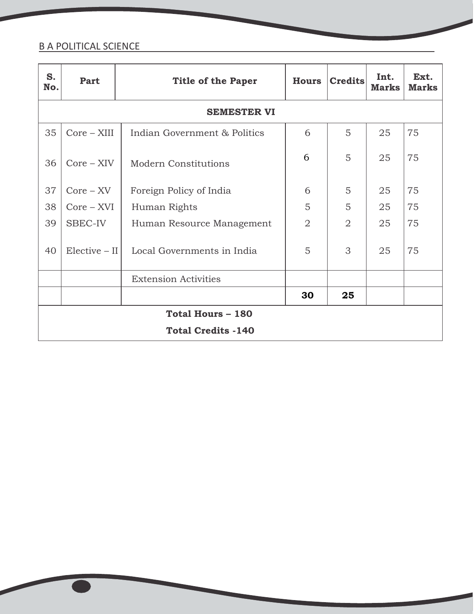| S.<br>No. | Part            | <b>Title of the Paper</b>    | <b>Hours</b>   | <b>Credits</b> | Int.<br><b>Marks</b> | Ext.<br><b>Marks</b> |
|-----------|-----------------|------------------------------|----------------|----------------|----------------------|----------------------|
|           |                 | <b>SEMESTER VI</b>           |                |                |                      |                      |
| 35        | $Core - XIII$   | Indian Government & Politics | 6              | 5              | 25                   | 75                   |
| 36        | $Core - XIV$    | <b>Modern Constitutions</b>  | 6              | 5              | 25                   | 75                   |
| 37        | $Core - XV$     | Foreign Policy of India      | 6              | 5              | 25                   | 75                   |
| 38        | $Core - XVI$    | Human Rights                 | 5              | 5              | 25                   | 75                   |
| 39        | SBEC-IV         | Human Resource Management    | $\overline{2}$ | $\overline{2}$ | 25                   | 75                   |
| 40        | $Elective - II$ | Local Governments in India   | 5              | 3              | 25                   | 75                   |
|           |                 | <b>Extension Activities</b>  |                |                |                      |                      |
|           |                 |                              | 30             | 25             |                      |                      |
|           |                 | <b>Total Hours - 180</b>     |                |                |                      |                      |
|           |                 | <b>Total Credits -140</b>    |                |                |                      |                      |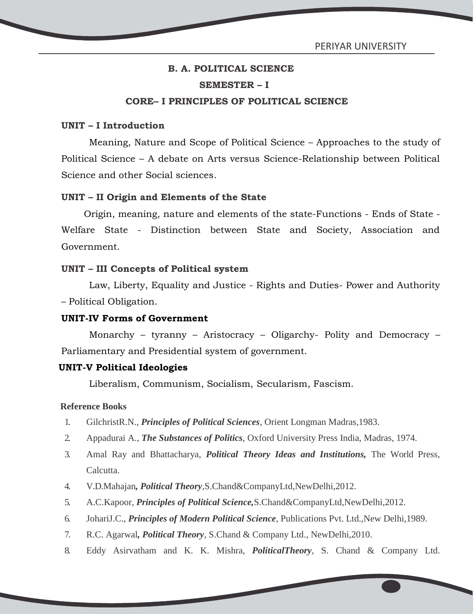## **B. A. POLITICAL SCIENCE SEMESTER – I**

#### **CORE– I PRINCIPLES OF POLITICAL SCIENCE**

#### **UNIT – IIntroduction**

Meaning, Nature and Scope of Political Science – Approaches to the study of Political Science – A debate on Arts versus Science-Relationship between Political Science and other Social sciences.

#### **UNIT – II Origin and Elements of the State**

Origin, meaning, nature and elements of the state-Functions - Ends of State - Welfare State - Distinction between State and Society, Association and Government.

#### **UNIT – III Concepts of Political system**

Law, Liberty, Equality and Justice - Rights and Duties- Power and Authority – Political Obligation.

#### **UNIT-IV Forms of Government**

Monarchy – tyranny – Aristocracy – Oligarchy- Polity and Democracy – Parliamentary and Presidential system of government.

#### **UNIT-V Political Ideologies**

Liberalism, Communism, Socialism, Secularism, Fascism.

- 1. GilchristR.N., *Principles of Political Sciences*, Orient Longman Madras,1983.
- 2. Appadurai A., *The Substances of Politics*, Oxford University Press India, Madras, 1974.
- 3. Amal Ray and Bhattacharya, *Political Theory Ideas and Institutions,* The World Press, Calcutta.
- 4. V.D.Mahajan*, Political Theory*,S.Chand&CompanyLtd,NewDelhi,2012.
- 5. A.C.Kapoor, *Principles of Political Science,*S.Chand&CompanyLtd,NewDelhi,2012.
- 6. JohariJ.C., *Principles of Modern Political Science*, Publications Pvt. Ltd.,New Delhi,1989.
- 7. R.C. Agarwal*, Political Theory*, S.Chand & Company Ltd., NewDelhi,2010.
- 8. Eddy Asirvatham and K. K. Mishra, *PoliticalTheory*, S. Chand & Company Ltd.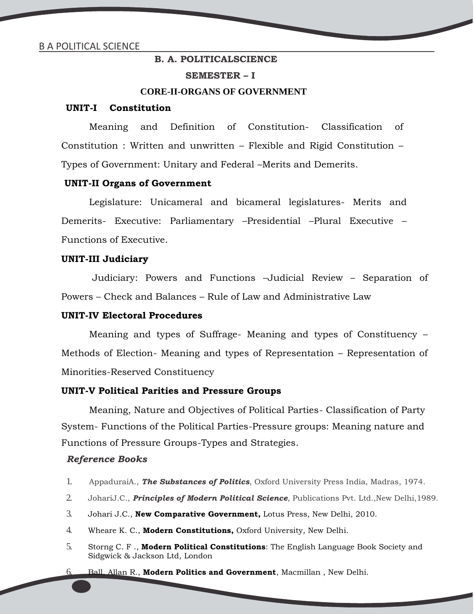#### **SEMESTER – I**

#### **CORE-II-ORGANS OF GOVERNMENT**

#### **UNIT-I Constitution**

Meaning and Definition of Constitution- Classification of Constitution : Written and unwritten – Flexible and Rigid Constitution – Types of Government: Unitary and Federal –Merits and Demerits.

#### **UNIT-II Organs of Government**

Legislature: Unicameral and bicameral legislatures- Merits and Demerits- Executive: Parliamentary –Presidential –Plural Executive – Functions of Executive.

#### **UNIT-III Judiciary**

Judiciary: Powers and Functions –Judicial Review – Separation of Powers – Check and Balances – Rule of Law and Administrative Law

#### **UNIT-IV Electoral Procedures**

Meaning and types of Suffrage- Meaning and types of Constituency – Methods of Election- Meaning and types of Representation – Representation of Minorities-Reserved Constituency

#### **UNIT-V Political Parities and Pressure Groups**

Meaning, Nature and Objectives of Political Parties- Classification of Party System- Functions of the Political Parties-Pressure groups: Meaning nature and Functions of Pressure Groups-Types and Strategies.

- 1. AppaduraiA., *The Substances of Politics*, Oxford University Press India, Madras, 1974.
- 2. JohariJ.C., *Principles of Modern Political Science*, Publications Pvt. Ltd.,New Delhi,1989.
- 3. Johari J.C., **New Comparative Government,** Lotus Press, New Delhi, 2010.
- 4. Wheare K. C., **Modern Constitutions,** Oxford University, New Delhi.
- 5. Storng C. F ., **Modern Political Constitutions**: The English Language Book Society and Sidgwick & Jackson Ltd, London
- 6. Ball, Allan R., **Modern Politics and Government**, Macmillan , New Delhi.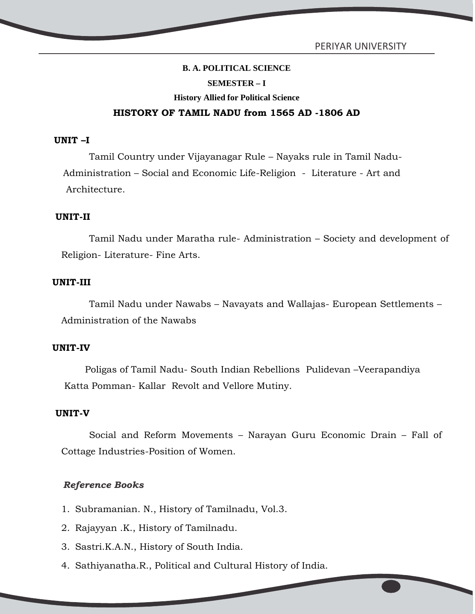## **B. A. POLITICAL SCIENCE SEMESTER – I History Allied for Political Science HISTORY OF TAMIL NADU from 1565 AD -1806 AD**

#### **UNIT –I**

Tamil Country under Vijayanagar Rule – Nayaks rule in Tamil Nadu- Administration – Social and Economic Life-Religion - Literature - Art and Architecture.

#### **UNIT-II**

Tamil Nadu under Maratha rule- Administration – Society and development of Religion- Literature- Fine Arts.

#### **UNIT-III**

Tamil Nadu under Nawabs – Navayats and Wallajas- European Settlements – Administration of the Nawabs

#### **UNIT-IV**

Poligas of Tamil Nadu- South Indian Rebellions Pulidevan –Veerapandiya Katta Pomman- Kallar Revolt and Vellore Mutiny.

#### **UNIT-V**

Social and Reform Movements – Narayan Guru Economic Drain – Fall of Cottage Industries-Position of Women.

- 1. Subramanian. N., History of Tamilnadu, Vol.3.
- 2. Rajayyan .K., History of Tamilnadu.
- 3. Sastri.K.A.N., History of South India.
- 4. Sathiyanatha.R., Political and Cultural History of India.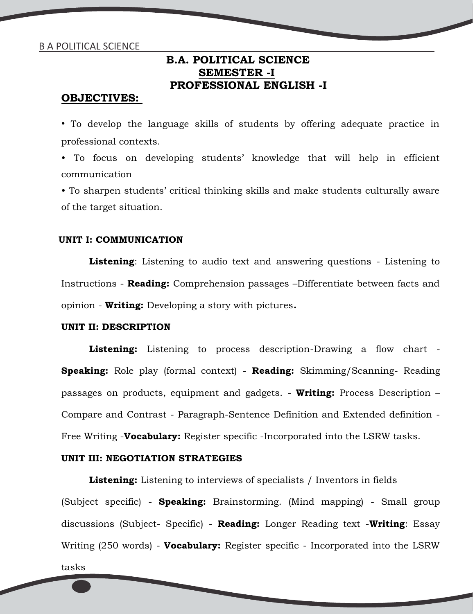## **B.A. POLITICAL SCIENCE SEMESTER -I PROFESSIONAL ENGLISH -I**

#### **OBJECTIVES:**

• To develop the language skills of students by offering adequate practice in professional contexts.

• To focus on developing students' knowledge that will help in efficient communication

• To sharpen students' critical thinking skills and make students culturally aware of the target situation.

#### **UNIT I: COMMUNICATION**

**Listening**: Listening to audio text and answering questions - Listening to Instructions - **Reading:** Comprehension passages –Differentiate between facts and opinion - **Writing:** Developing a story with pictures**.**

#### **UNIT II: DESCRIPTION**

**Listening:** Listening to process description-Drawing a flow chart - **Speaking:** Role play (formal context) - **Reading:** Skimming/Scanning- Reading passages on products, equipment and gadgets. - **Writing:** Process Description – Compare and Contrast - Paragraph-Sentence Definition and Extended definition - Free Writing -**Vocabulary:** Register specific -Incorporated into the LSRW tasks.

#### **UNIT III: NEGOTIATION STRATEGIES**

**Listening:** Listening to interviews of specialists / Inventors in fields

(Subject specific) - **Speaking:** Brainstorming. (Mind mapping) - Small group discussions (Subject- Specific) - **Reading:** Longer Reading text -**Writing**: Essay Writing (250 words) - **Vocabulary:** Register specific -Incorporated into the LSRW

tasks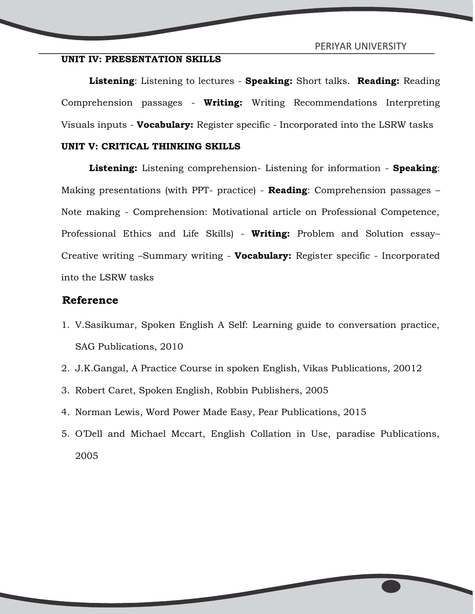#### **UNIT IV: PRESENTATION SKILLS**

**Listening**: Listening to lectures - **Speaking:** Short talks. **Reading:** Reading Comprehension passages - **Writing:** Writing Recommendations Interpreting Visuals inputs - **Vocabulary:** Register specific - Incorporated into the LSRW tasks

#### **UNIT V: CRITICAL THINKING SKILLS**

**Listening:** Listening comprehension- Listening for information - **Speaking**: Making presentations (with PPT- practice) - **Reading**: Comprehension passages – Note making - Comprehension: Motivational article on Professional Competence, Professional Ethics and Life Skills) - **Writing:** Problem and Solution essay– Creative writing –Summary writing - **Vocabulary:** Register specific - Incorporated into the LSRW tasks

#### **Reference**

- 1. V.Sasikumar, Spoken English A Self: Learning guide to conversation practice, SAG Publications, 2010
- 2. J.K.Gangal, A Practice Course in spoken English, Vikas Publications, 20012
- 3. Robert Caret, Spoken English, Robbin Publishers, 2005
- 4. Norman Lewis, Word Power Made Easy, Pear Publications, 2015
- 5. O'Dell and Michael Mccart, English Collation in Use, paradise Publications, 2005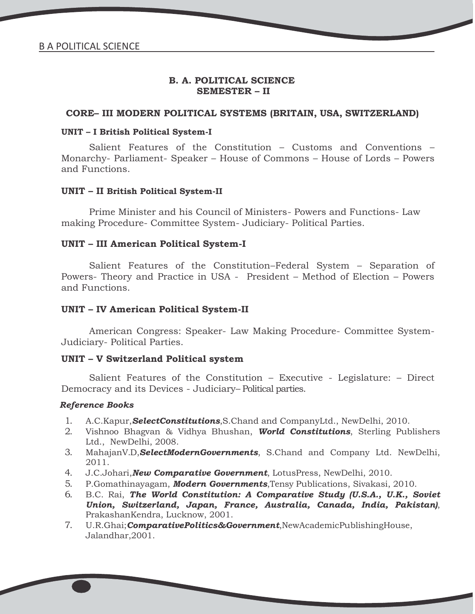#### **B. A. POLITICAL SCIENCE SEMESTER – II**

#### **CORE– III MODERN POLITICAL SYSTEMS (BRITAIN, USA, SWITZERLAND)**

#### **UNIT – I British Political System-I**

Salient Features of the Constitution – Customs and Conventions – Monarchy- Parliament- Speaker – House of Commons – House of Lords – Powers and Functions.

#### **UNIT – II British Political System-II**

Prime Minister and his Council of Ministers- Powers and Functions- Law making Procedure- Committee System- Judiciary- Political Parties.

#### **UNIT – III American Political System-I**

Salient Features of the Constitution–Federal System – Separation of Powers- Theory and Practice in USA - President – Method of Election – Powers and Functions.

#### **UNIT – IV American Political System-II**

American Congress: Speaker- Law Making Procedure- Committee System- Judiciary- Political Parties.

#### **UNIT – V Switzerland Political system**

Salient Features of the Constitution – Executive - Legislature: – Direct Democracy and its Devices - Judiciary– Political parties.

- 1. A.C.Kapur,*SelectConstitutions*,S.Chand and CompanyLtd., NewDelhi, 2010.
- 2. Vishnoo Bhagvan & Vidhya Bhushan, *World Constitutions*, Sterling Publishers Ltd., NewDelhi, 2008.
- 3. MahajanV.D,*SelectModernGovernments*, S.Chand and Company Ltd. NewDelhi, 2011.
- 4. J.C.Johari,*New Comparative Government*, LotusPress, NewDelhi, 2010.
- 5. P.Gomathinayagam, *Modern Governments*,Tensy Publications, Sivakasi, 2010.
- 6. B.C. Rai, *The World Constitution: A Comparative Study (U.S.A., U.K., Soviet Union, Switzerland, Japan, France, Australia, Canada, India, Pakistan)*, PrakashanKendra, Lucknow, 2001.
- 7. U.R.Ghai;*ComparativePolitics&Government*,NewAcademicPublishingHouse, Jalandhar,2001.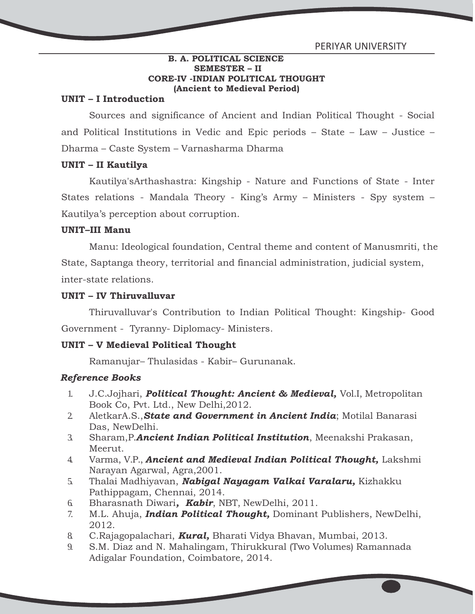#### **B. A. POLITICAL SCIENCE SEMESTER – II CORE-IV -INDIAN POLITICAL THOUGHT (Ancient to Medieval Period)**

#### **UNIT – I Introduction**

Sources and significance of Ancient and Indian Political Thought - Social and Political Institutions in Vedic and Epic periods – State – Law – Justice – Dharma – Caste System – Varnasharma Dharma

#### **UNIT – II Kautilya**

Kautilya'sArthashastra: Kingship - Nature and Functions of State - Inter States relations - Mandala Theory - King's Army - Ministers - Spy system -Kautilya's perception about corruption.

#### **UNIT–III Manu**

Manu: Ideological foundation, Central theme and content of Manusmriti, the

State, Saptanga theory, territorial and financial administration, judicial system,

inter-state relations.

#### **UNIT – IV Thiruvalluvar**

Thiruvalluvar's Contribution to Indian Political Thought: Kingship- Good Government - Tyranny- Diplomacy- Ministers.

#### **UNIT – V Medieval Political Thought**

Ramanujar– Thulasidas - Kabir– Gurunanak.

- 1. J.C.Jojhari, *Political Thought: Ancient & Medieval,* Vol.I, Metropolitan Book Co, Pvt. Ltd., New Delhi,2012.
- 2. AletkarA.S.,*State and Government in Ancient India*; Motilal Banarasi Das, NewDelhi.
- 3. Sharam,P.*Ancient Indian Political Institution*, Meenakshi Prakasan, Meerut.
- 4. Varma, V.P., *Ancient and Medieval Indian Political Thought,* Lakshmi Narayan Agarwal, Agra,2001.
- 5. Thalai Madhiyavan, *Nabigal Nayagam Valkai Varalaru,* Kizhakku Pathippagam, Chennai, 2014.
- 6. Bharasnath Diwari*, Kabir*, NBT, NewDelhi, 2011.
- 7. M.L. Ahuja, *Indian Political Thought,* Dominant Publishers, NewDelhi, 2012.
- 8. C.Rajagopalachari, *Kural,* Bharati Vidya Bhavan, Mumbai, 2013.
- 9. S.M. Diaz and N. Mahalingam, Thirukkural (Two Volumes) Ramannada Adigalar Foundation, Coimbatore, 2014.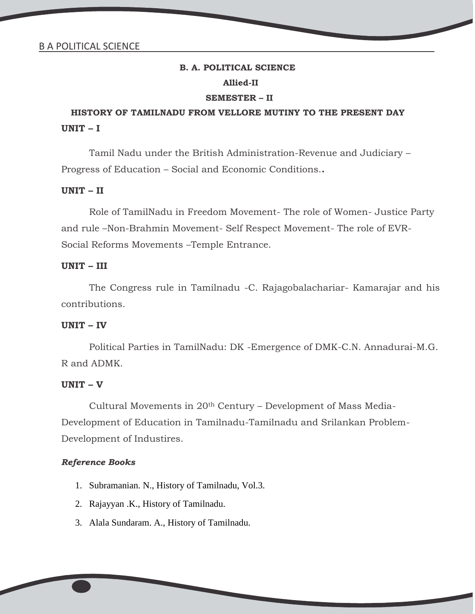## **B. A. POLITICAL SCIENCE Allied-II SEMESTER – II**

## **HISTORY OF TAMILNADU FROM VELLORE MUTINY TO THE PRESENT DAY UNIT – I**

Tamil Nadu under the British Administration-Revenue and Judiciary – Progress of Education – Social and Economic Conditions.**.**

#### **UNIT – II**

Role of TamilNadu in Freedom Movement- The role of Women- Justice Party and rule –Non-Brahmin Movement- Self Respect Movement- The role of EVR- Social Reforms Movements –Temple Entrance.

#### **UNIT – III**

The Congress rule in Tamilnadu -C. Rajagobalachariar- Kamarajar and his contributions.

#### **UNIT – IV**

Political Parties in TamilNadu: DK -Emergence of DMK-C.N. Annadurai-M.G. R and ADMK.

#### **UNIT – V**

Cultural Movements in 20th Century – Development of Mass Media- Development of Education in Tamilnadu-Tamilnadu and Srilankan Problem- Development of Industires.

- 1. Subramanian. N., History of Tamilnadu, Vol.3.
- 2. Rajayyan .K., History of Tamilnadu.
- 3. Alala Sundaram. A., History of Tamilnadu.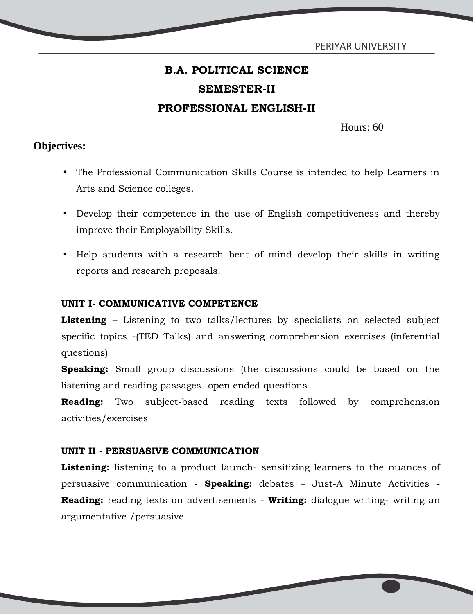PERIYAR UNIVERSITY

## **B.A. POLITICAL SCIENCE SEMESTER-II PROFESSIONAL ENGLISH-II**

Hours: 60

## **Objectives:**

- The Professional Communication Skills Course is intended to help Learners in Arts and Science colleges.
- Develop their competence in the use of English competitiveness and thereby improve their Employability Skills.
- Help students with a research bent of mind develop their skills in writing reports and research proposals.

#### **UNIT I- COMMUNICATIVE COMPETENCE**

**Listening** – Listening to two talks/lectures by specialists on selected subject specific topics -(TED Talks) and answering comprehension exercises (inferential questions)

**Speaking:** Small group discussions (the discussions could be based on the listening and reading passages- open ended questions

**Reading:** Two subject-based reading texts followed by comprehension activities/exercises

#### **UNIT II - PERSUASIVE COMMUNICATION**

Listening: listening to a product launch- sensitizing learners to the nuances of persuasive communication - **Speaking:** debates – Just-A Minute Activities - **Reading:** reading texts on advertisements -**Writing:** dialogue writing- writing an argumentative /persuasive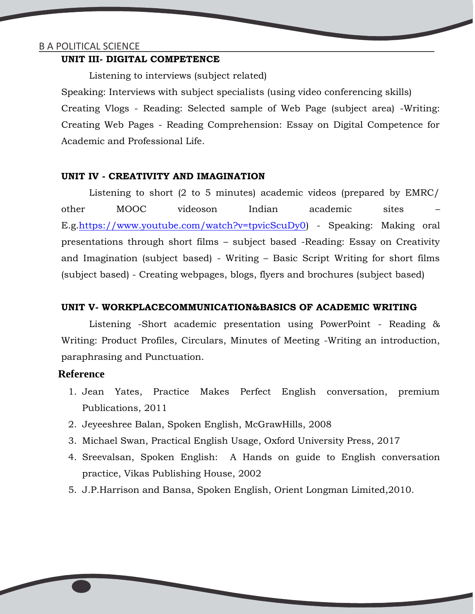#### **UNIT III- DIGITAL COMPETENCE**

Listening to interviews (subject related)

Speaking: Interviews with subject specialists (using video conferencing skills) Creating Vlogs - Reading: Selected sample of Web Page (subject area) -Writing: Creating Web Pages - Reading Comprehension: Essay on Digital Competence for Academic and Professional Life.

#### **UNIT IV - CREATIVITY AND IMAGINATION**

Listening to short (2 to 5 minutes) academic videos (prepared by EMRC/ other MOOC videoson Indian academic sites – E.g.https://[www.youtube.com/watch?](www.youtube.com/watch)v=tpvicScuDy0) - Speaking: Making oral presentations through short films – subject based -Reading: Essay on Creativity and Imagination (subject based) - Writing – Basic Script Writing for short films (subject based) - Creating webpages, blogs, flyers and brochures (subject based)

#### **UNIT V- WORKPLACECOMMUNICATION&BASICS OF ACADEMIC WRITING**

Listening -Short academic presentation using PowerPoint - Reading & Writing: Product Profiles, Circulars, Minutes of Meeting -Writing an introduction, paraphrasing and Punctuation.

#### **Reference**

- 1. Jean Yates, Practice Makes Perfect English conversation, premium Publications, 2011
- 2. Jeyeeshree Balan, Spoken English, McGrawHills, 2008
- 3. Michael Swan, Practical English Usage, Oxford University Press, 2017
- 4. Sreevalsan, Spoken English: A Hands on guide to English conversation practice, Vikas Publishing House, 2002
- 5. J.P.Harrison and Bansa, Spoken English, Orient Longman Limited,2010.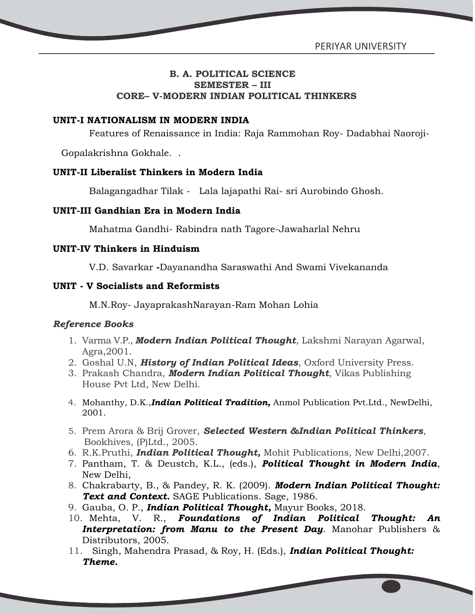#### **B. A. POLITICAL SCIENCE SEMESTER – III CORE– V-MODERN INDIAN POLITICAL THINKERS**

#### **UNIT-I NATIONALISM IN MODERN INDIA**

Features of Renaissance in India: Raja Rammohan Roy- Dadabhai Naoroji-

Gopalakrishna Gokhale. .

#### **UNIT-II Liberalist Thinkers in Modern India**

Balagangadhar Tilak - Lala lajapathi Rai- sri Aurobindo Ghosh.

#### **UNIT-III Gandhian Era in Modern India**

Mahatma Gandhi- Rabindra nath Tagore-Jawaharlal Nehru

#### **UNIT-IV Thinkers in Hinduism**

V.D. Savarkar **-**Dayanandha Saraswathi And Swami Vivekananda

#### **UNIT - V Socialists and Reformists**

M.N.Roy- JayaprakashNarayan-Ram Mohan Lohia

- 1. Varma V.P., *Modern Indian Political Thought*, Lakshmi Narayan Agarwal, Agra,2001.
- 2. Goshal U.N, *History of Indian Political Ideas*, Oxford University Press.
- 3. Prakash Chandra, *Modern Indian Political Thought*, Vikas Publishing House Pvt Ltd, New Delhi.
- 4. Mohanthy, D.K.,*Indian Political Tradition,* Anmol Publication Pvt.Ltd., NewDelhi, 2001.
- 5. Prem Arora & Brij Grover, *Selected Western &Indian Political Thinkers*, Bookhives, (P)Ltd., 2005.
- 6. R.K.Pruthi, *Indian Political Thought,* Mohit Publications, New Delhi,2007.
- 7. Pantham, T. & Deustch, K.L., (eds.), *Political Thought in Modern India*, New Delhi,
- 8. Chakrabarty, B., & Pandey, R. K. (2009). *Modern Indian Political Thought: Text and Context.* SAGE Publications. Sage, 1986.
- 9. Gauba, O. P., *Indian Political Thought,* Mayur Books, 2018.
- 10. Mehta, V. R., *Foundations of Indian Political Thought: An Interpretation: from Manu to the Present Day*. Manohar Publishers & Distributors, 2005.
- 11. Singh, Mahendra Prasad, & Roy, H. (Eds.), *Indian Political Thought: Theme.*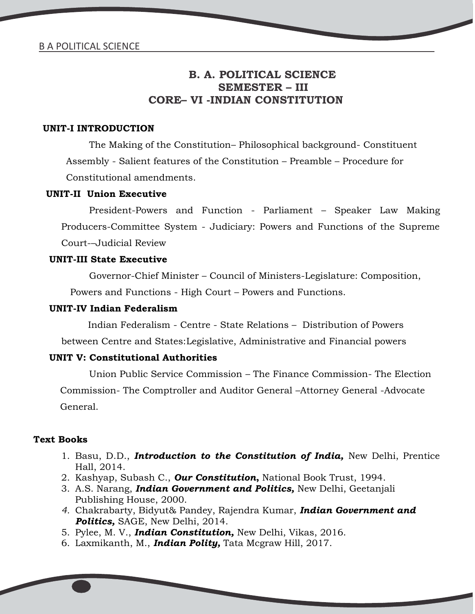## **B. A. POLITICAL SCIENCE SEMESTER – III CORE– VI -INDIAN CONSTITUTION**

#### **UNIT-I INTRODUCTION**

The Making of the Constitution– Philosophical background- Constituent Assembly - Salient features of the Constitution – Preamble – Procedure for Constitutional amendments.

#### **UNIT-II Union Executive**

President-Powers and Function - Parliament – Speaker Law Making Producers-Committee System - Judiciary: Powers and Functions of the Supreme Court-–Judicial Review

#### **UNIT-III State Executive**

Governor-Chief Minister – Council of Ministers-Legislature: Composition,

Powers and Functions - High Court – Powers and Functions.

#### **UNIT-IV Indian Federalism**

Indian Federalism - Centre - State Relations – Distribution of Powers

between Centre and States:Legislative, Administrative and Financial powers

#### **UNIT V: Constitutional Authorities**

Union Public Service Commission – The Finance Commission- The Election Commission- The Comptroller and Auditor General –Attorney General -Advocate General.

#### **Text Books**

- 1. Basu, D.D., *Introduction to the Constitution of India,* New Delhi, Prentice Hall, 2014.
- 2. Kashyap, Subash C., *Our Constitution***,** National Book Trust, 1994.
- 3. A.S. Narang, *Indian Government and Politics,* New Delhi, Geetanjali Publishing House, 2000.
- *4.* Chakrabarty, Bidyut& Pandey, Rajendra Kumar, *Indian Government and Politics,* SAGE, New Delhi, 2014.
- 5. Pylee, M. V., *Indian Constitution,* New Delhi, Vikas, 2016.
- 6. Laxmikanth, M., *Indian Polity,* Tata Mcgraw Hill, 2017.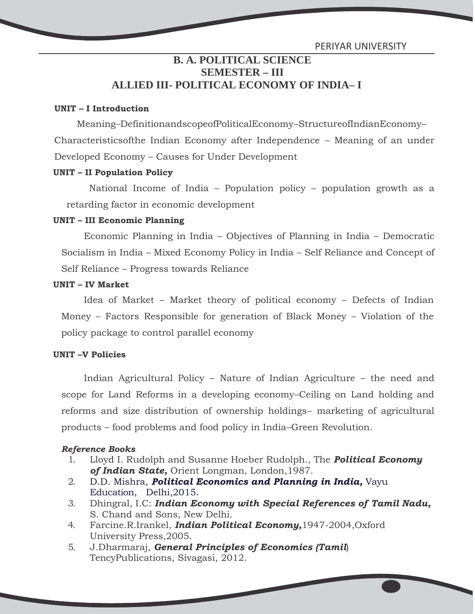PERIYAR UNIVERSITY

## **B. A. POLITICAL SCIENCE SEMESTER – III ALLIED III- POLITICAL ECONOMY OF INDIA– I**

#### **UNIT – IIntroduction**

Meaning–DefinitionandscopeofPoliticalEconomy–StructureofIndianEconomy– Characteristicsofthe Indian Economy after Independence – Meaning of an under Developed Economy – Causes for Under Development

#### **UNIT – II Population Policy**

National Income of India – Population policy – population growth as a retarding factor in economic development

#### **UNIT – III Economic Planning**

Economic Planning in India – Objectives of Planning in India – Democratic Socialism in India – Mixed Economy Policy in India – Self Reliance and Concept of Self Reliance – Progress towards Reliance

#### **UNIT – IV Market**

Idea of Market – Market theory of political economy – Defects of Indian Money – Factors Responsible for generation of Black Money – Violation of the policy package to control parallel economy

#### **UNIT –V Policies**

Indian Agricultural Policy – Nature of Indian Agriculture – the need and scope for Land Reforms in a developing economy–Ceiling on Land holding and reforms and size distribution of ownership holdings– marketing of agricultural products – food problems and food policy in India–Green Revolution.

- 1. Lloyd I. Rudolph and Susanne Hoeber Rudolph., The *Political Economy of Indian State,* Orient Longman, London,1987.
- 2. D.D. Mishra, *Political Economics and Planning in India,* Vayu Education, Delhi,2015.
- 3. Dhingral, I.C: *Indian Economy with Special References of Tamil Nadu,* S. Chand and Sons, New Delhi.
- 4. Farcine.R.Irankel, *Indian Political Economy,*1947-2004,Oxford University Press,2005.
- 5. J.Dharmaraj, *General Principles of Economics (Tamil*) TencyPublications, Sivagasi, 2012.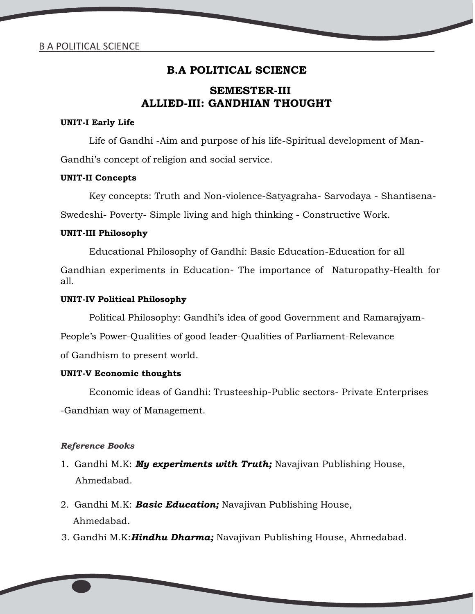## **SEMESTER-III ALLIED-III: GANDHIAN THOUGHT**

#### **UNIT-I Early Life**

Life of Gandhi -Aim and purpose of his life-Spiritual development of Man- Gandhi's concept of religion and social service.

#### **UNIT-II Concepts**

Key concepts: Truth and Non-violence-Satyagraha- Sarvodaya - Shantisena- Swedeshi- Poverty- Simple living and high thinking - Constructive Work.

#### **UNIT-III Philosophy**

Educational Philosophy of Gandhi: Basic Education-Education for all

Gandhian experiments in Education- The importance of Naturopathy-Health for all.

#### **UNIT-IV Political Philosophy**

Political Philosophy: Gandhi's idea of good Government and Ramarajyam-

People's Power-Qualities of good leader-Qualities of Parliament-Relevance

of Gandhism to present world.

#### **UNIT-V Economic thoughts**

Economic ideas of Gandhi: Trusteeship-Public sectors- Private Enterprises -Gandhian way of Management.

- 1. Gandhi M.K: *My experiments with Truth;* Navajivan Publishing House, Ahmedabad.
- 2. Gandhi M.K: *Basic Education;* Navajivan Publishing House, Ahmedabad.
- 3. Gandhi M.K:*Hindhu Dharma;* Navajivan Publishing House, Ahmedabad.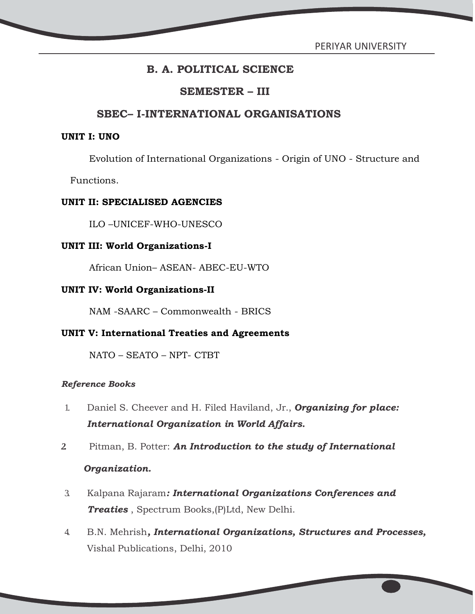#### **SEMESTER – III**

### **SBEC– I-INTERNATIONAL ORGANISATIONS**

#### **UNIT I: UNO**

Evolution of International Organizations - Origin of UNO - Structure and

Functions.

#### **UNIT II: SPECIALISED AGENCIES**

ILO –UNICEF-WHO-UNESCO

#### **UNIT III: World Organizations-I**

African Union– ASEAN- ABEC-EU-WTO

#### **UNIT IV: World Organizations-II**

NAM -SAARC – Commonwealth - BRICS

#### **UNIT V: International Treaties and Agreements**

NATO – SEATO – NPT- CTBT

#### *Reference Books*

- 1. Daniel S. Cheever and H. Filed Haviland, Jr., *Organizing for place: International Organization in World Affairs.*
- *2.* Pitman, B. Potter: *An Introduction to the study of International*

#### *Organization.*

- 3. Kalpana Rajaram*: International Organizations Conferences and Treaties* , Spectrum Books,(P)Ltd, New Delhi.
- 4. B.N. Mehrish*, International Organizations, Structures and Processes,* Vishal Publications, Delhi, 2010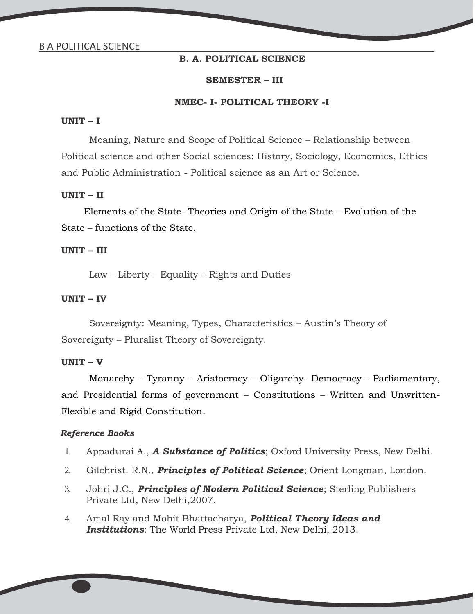#### **B. A. POLITICAL SCIENCE**

#### **SEMESTER – III**

#### **NMEC- I- POLITICAL THEORY -I**

#### **UNIT – I**

Meaning, Nature and Scope of Political Science – Relationship between Political science and other Social sciences: History, Sociology, Economics, Ethics and Public Administration - Political science as an Art or Science.

#### **UNIT – II**

Elements of the State- Theories and Origin of the State – Evolution of the State – functions of the State.

#### **UNIT – III**

Law – Liberty – Equality – Rights and Duties

#### **UNIT – IV**

Sovereignty: Meaning, Types, Characteristics – Austin's Theory of Sovereignty – Pluralist Theory of Sovereignty.

#### **UNIT – V**

Monarchy – Tyranny – Aristocracy – Oligarchy- Democracy - Parliamentary, and Presidential forms of government – Constitutions – Written and Unwritten- Flexible and Rigid Constitution.

- 1. Appadurai A., *A Substance of Politics*; Oxford University Press, New Delhi.
- 2. Gilchrist. R.N., *Principles of Political Science*; Orient Longman, London.
- 3. Johri J.C., *Principles of Modern Political Science*; Sterling Publishers Private Ltd, New Delhi,2007.
- 4. Amal Ray and Mohit Bhattacharya, *Political Theory Ideas and Institutions*: The World Press Private Ltd, New Delhi, 2013.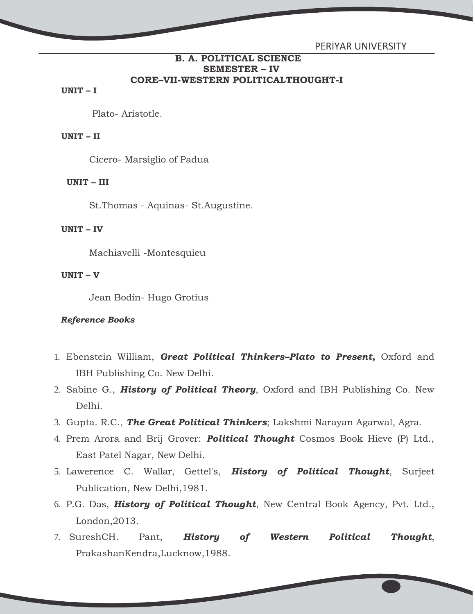#### **B. A. POLITICAL SCIENCE SEMESTER – IV CORE–VII-WESTERN POLITICALTHOUGHT-I**

#### **UNIT – I**

Plato- Aristotle.

#### **UNIT – II**

Cicero- Marsiglio of Padua

#### **UNIT – III**

St.Thomas - Aquinas- St.Augustine.

#### **UNIT – IV**

Machiavelli -Montesquieu

#### **UNIT – V**

Jean Bodin- Hugo Grotius

- 1. Ebenstein William, *Great Political Thinkers–Plato to Present,* Oxford and IBH Publishing Co. New Delhi.
- 2. Sabine G., *History of Political Theory*, Oxford and IBH Publishing Co. New Delhi.
- 3. Gupta. R.C., *The Great Political Thinkers*; Lakshmi Narayan Agarwal, Agra.
- 4. Prem Arora and Brij Grover: *Political Thought* Cosmos Book Hieve (P) Ltd., East Patel Nagar, New Delhi.
- 5. Lawerence C. Wallar, Gettel's, *History of Political Thought*, Surjeet Publication, New Delhi,1981.
- 6. P.G. Das, *History of Political Thought*, New Central Book Agency, Pvt. Ltd., London,2013.
- 7. SureshCH. Pant, *History of Western Political Thought*, PrakashanKendra,Lucknow,1988.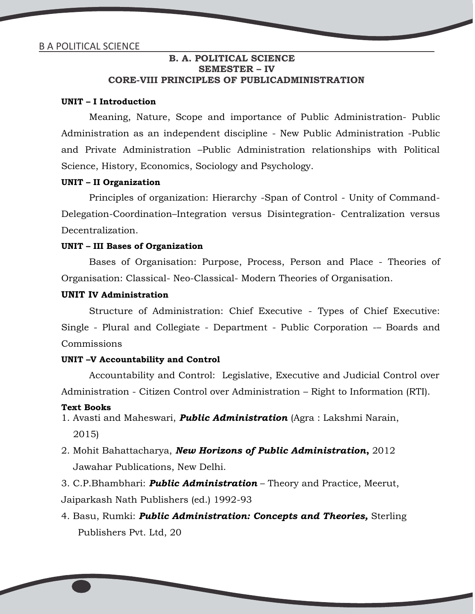#### **B. A. POLITICAL SCIENCE SEMESTER – IV CORE-VIII PRINCIPLES OF PUBLICADMINISTRATION**

#### **UNIT – IIntroduction**

Meaning, Nature, Scope and importance of Public Administration- Public Administration as an independent discipline - New Public Administration -Public and Private Administration –Public Administration relationships with Political Science, History, Economics, Sociology and Psychology.

#### **UNIT – II Organization**

Principles of organization: Hierarchy -Span of Control - Unity of Command- Delegation-Coordination–Integration versus Disintegration- Centralization versus Decentralization.

#### **UNIT – III Bases of Organization**

Bases of Organisation: Purpose, Process, Person and Place - Theories of Organisation: Classical- Neo-Classical- Modern Theories of Organisation.

#### **UNIT IV Administration**

Structure of Administration: Chief Executive - Types of Chief Executive: Single - Plural and Collegiate - Department - Public Corporation -- Boards and Commissions

#### **UNIT –V Accountability and Control**

Accountability and Control: Legislative, Executive and Judicial Control over Administration - Citizen Control over Administration – Right to Information (RTI).

#### **Text Books**

- 1. Avasti and Maheswari, *Public Administration* (Agra : Lakshmi Narain, 2015)
- 2. Mohit Bahattacharya, *New Horizons of Public Administration***,** 2012 Jawahar Publications, New Delhi.

3. C.P.Bhambhari: *Public Administration* – Theory and Practice, Meerut, Jaiparkash Nath Publishers (ed.) 1992-93

4. Basu, Rumki: *Public Administration: Concepts and Theories,* Sterling Publishers Pvt. Ltd, 20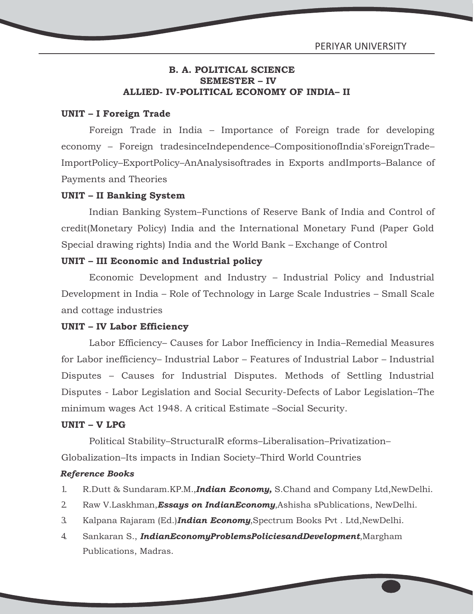#### **B. A. POLITICAL SCIENCE SEMESTER – IV ALLIED- IV-POLITICAL ECONOMY OF INDIA– II**

#### **UNIT – I Foreign Trade**

Foreign Trade in India – Importance of Foreign trade for developing economy – Foreign tradesinceIndependence–CompositionofIndia'sForeignTrade– ImportPolicy–ExportPolicy–AnAnalysisoftrades in Exports andImports–Balance of Payments and Theories

#### **UNIT – II Banking System**

Indian Banking System–Functions of Reserve Bank of India and Control of credit(Monetary Policy) India and the International Monetary Fund (Paper Gold Special drawing rights) India and the World Bank – Exchange of Control

#### **UNIT – III Economic and Industrial policy**

Economic Development and Industry – Industrial Policy and Industrial Development in India – Role of Technology in Large Scale Industries – Small Scale and cottage industries

#### **UNIT – IV Labor Efficiency**

Labor Efficiency– Causes for Labor Inefficiency in India–Remedial Measures for Labor inefficiency– Industrial Labor – Features of Industrial Labor – Industrial Disputes – Causes for Industrial Disputes. Methods of Settling Industrial Disputes - Labor Legislation and Social Security-Defects of Labor Legislation–The minimum wages Act 1948. A critical Estimate –Social Security.

#### **UNIT – V LPG**

Political Stability–StructuralR eforms–Liberalisation–Privatization– Globalization–Its impacts in Indian Society–Third World Countries

- 1. R.Dutt & Sundaram.KP.M.,*Indian Economy,* S.Chand and Company Ltd,NewDelhi.
- 2. Raw V.Laskhman,*Essays on IndianEconomy*,Ashisha sPublications, NewDelhi.
- 3. Kalpana Rajaram (Ed.)*Indian Economy*,Spectrum Books Pvt . Ltd,NewDelhi.
- 4. Sankaran S., *IndianEconomyProblemsPoliciesandDevelopment*,Margham Publications, Madras.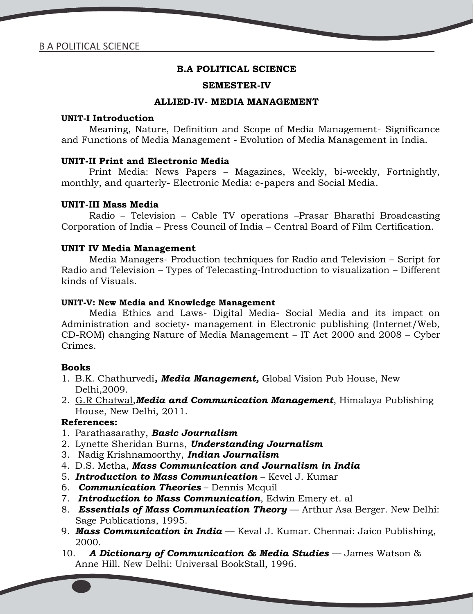#### **SEMESTER-IV**

#### **ALLIED-IV- MEDIA MANAGEMENT**

#### **UNIT-I Introduction**

Meaning, Nature, Definition and Scope of Media Management- Significance and Functions of Media Management - Evolution of Media Management in India.

#### **UNIT-II Print and Electronic Media**

Print Media: News Papers – Magazines, Weekly, bi-weekly, Fortnightly, monthly, and quarterly- Electronic Media: e-papers and Social Media.

#### **UNIT-III Mass Media**

Radio – Television – Cable TV operations –Prasar Bharathi Broadcasting Corporation of India – Press Council of India – Central Board of Film Certification.

#### **UNIT IV Media Management**

Media Managers- Production techniques for Radio and Television – Script for Radio and Television – Types of Telecasting-Introduction to visualization – Different kinds of Visuals.

#### **UNIT-V: New Media and Knowledge Management**

Media Ethics and Laws- Digital Media- Social Media and its impact on Administration and society**-** management in Electronic publishing (Internet/Web, CD-ROM) changing Nature of Media Management  $-$  IT Act 2000 and 2008  $-$  Cyber Crimes.

#### **Books**

- 1. B.K. Chathurvedi*, Media Management,* Global Vision Pub House, New Delhi,2009.
- 2. G.R Chatwal,*Media and Communication Management*, Himalaya Publishing House, New Delhi, 2011.

#### **References:**

- 1. Parathasarathy, *Basic Journalism*
- 2. Lynette Sheridan Burns, *Understanding Journalism*
- 3. Nadig Krishnamoorthy, *Indian Journalism*
- 4. D.S. Metha*, Mass Communication and Journalism in India*
- 5. *Introduction to Mass Communication* Kevel J. Kumar
- 6. *Communication Theories* Dennis Mcquil
- 7. *Introduction to Mass Communication*, Edwin Emery et. al
- 8. *Essentials of Mass Communication Theory* Arthur Asa Berger. New Delhi: Sage Publications, 1995.
- 9. *Mass Communication in India* Keval J. Kumar. Chennai: Jaico Publishing, 2000.
- 10. *A Dictionary of Communication & Media Studies* James Watson & Anne Hill. New Delhi: Universal BookStall, 1996.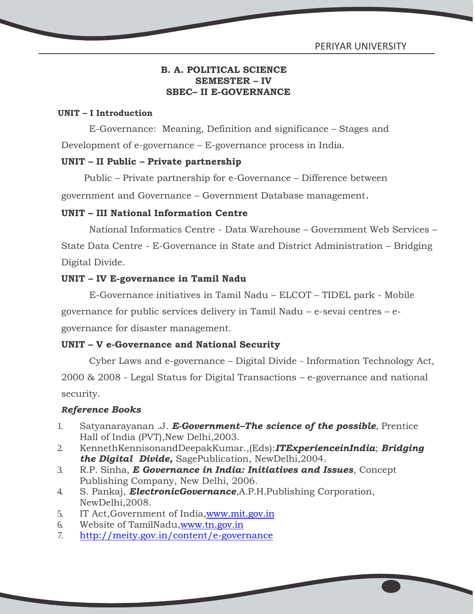#### **B. A. POLITICAL SCIENCE SEMESTER – IV SBEC– II E-GOVERNANCE**

#### **UNIT – IIntroduction**

E-Governance: Meaning, Definition and significance – Stages and Development of e-governance – E-governance process in India.

#### **UNIT – II Public – Private partnership**

Public – Private partnership for e-Governance – Difference between

government and Governance – Government Database management.

#### **UNIT – III National Information Centre**

National Informatics Centre - Data Warehouse – Government Web Services –

State Data Centre - E-Governance in State and District Administration – Bridging Digital Divide.

#### **UNIT – IV E-governance in Tamil Nadu**

E-Governance initiatives in Tamil Nadu – ELCOT – TIDEL park - Mobile governance for public services delivery in Tamil Nadu – e-sevai centres – e governance for disaster management.

### **UNIT – V e-Governance and National Security**

Cyber Laws and e-governance – Digital Divide - Information Technology Act, 2000 & 2008 - Legal Status for Digital Transactions – e-governance and national security.

- 1. Satyanarayanan .J. *E-Government–The science of the possible,* Prentice Hall of India (PVT), New Delhi, 2003.
- 2. KennethKennisonandDeepakKumar.,(Eds):*ITExperienceinIndia*; *Bridging the Digital Divide,* SagePublication, NewDelhi,2004.
- 3. R.P. Sinha, *E Governance in India: Initiatives and Issues*, Concept Publishing Company, New Delhi, 2006.
- 4. S. Pankaj, *ElectronicGovernance*,A.P.H.Publishing Corporation, NewDelhi,2008.
- 5. IT Act,Government of India[,www.mit.gov.in](www.mit.gov.in)
- 6. Website of TamilNadu,<www.tn.gov.in>
- 7. <http://meity.gov.in/content/e-governance>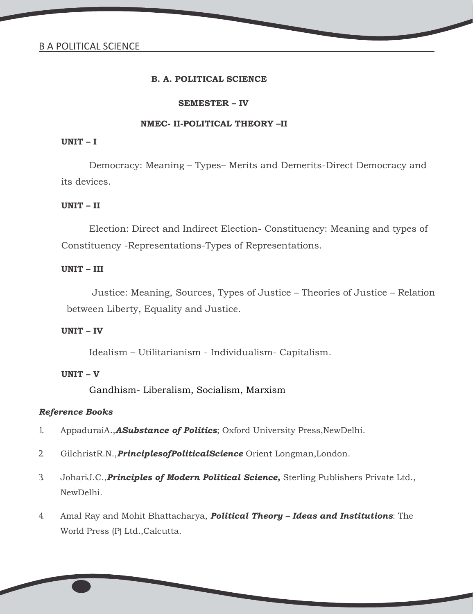#### **SEMESTER – IV**

#### **NMEC- II-POLITICAL THEORY –II**

#### **UNIT – I**

Democracy: Meaning – Types– Merits and Demerits-Direct Democracy and its devices.

#### **UNIT – II**

Election: Direct and Indirect Election- Constituency: Meaning and types of Constituency -Representations-Types of Representations.

#### **UNIT – III**

Justice: Meaning, Sources, Types of Justice – Theories of Justice – Relation between Liberty, Equality and Justice.

#### **UNIT – IV**

Idealism – Utilitarianism - Individualism- Capitalism.

#### **UNIT – V**

Gandhism- Liberalism, Socialism, Marxism

- 1. AppaduraiA.,*ASubstance of Politics*; Oxford University Press,NewDelhi.
- 2. GilchristR.N.,*PrinciplesofPoliticalScience* Orient Longman,London.
- 3. JohariJ.C.,*Principles of Modern Political Science,* Sterling Publishers Private Ltd., NewDelhi.
- 4. Amal Ray and Mohit Bhattacharya, *Political Theory – Ideas and Institutions*: The World Press (P) Ltd.,Calcutta.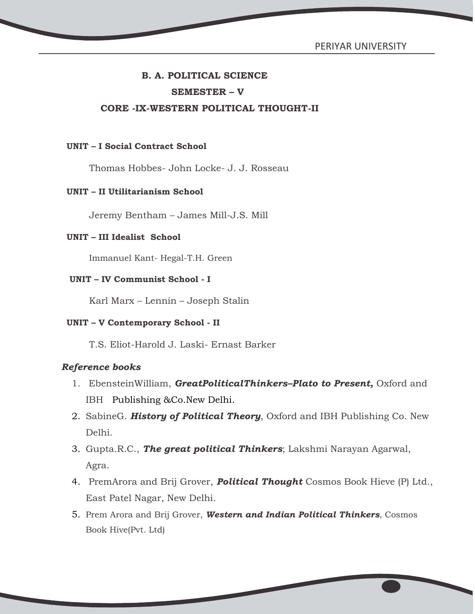#### **SEMESTER – V**

#### **CORE -IX-WESTERN POLITICAL THOUGHT-II**

#### **UNIT – ISocial Contract School**

Thomas Hobbes- John Locke- J. J. Rosseau

#### **UNIT – II Utilitarianism School**

Jeremy Bentham – James Mill-J.S. Mill

#### **UNIT – III Idealist School**

Immanuel Kant- Hegal-T.H. Green

#### **UNIT – IV Communist School - I**

Karl Marx – Lennin – Joseph Stalin

#### **UNIT – V Contemporary School - II**

T.S. Eliot-Harold J. Laski- Ernast Barker

- 1. EbensteinWilliam, *GreatPoliticalThinkers–Plato to Present,* Oxford and IBH Publishing &Co.New Delhi.
- 2. SabineG. *History of Political Theory*, Oxford and IBH Publishing Co. New Delhi.
- 3. Gupta.R.C., *The great political Thinkers*; Lakshmi Narayan Agarwal, Agra.
- 4. PremArora and Brij Grover, *Political Thought* Cosmos Book Hieve (P) Ltd., East Patel Nagar, New Delhi.
- 5. Prem Arora and Brij Grover, *Western and Indian Political Thinkers*, Cosmos Book Hive(Pvt. Ltd)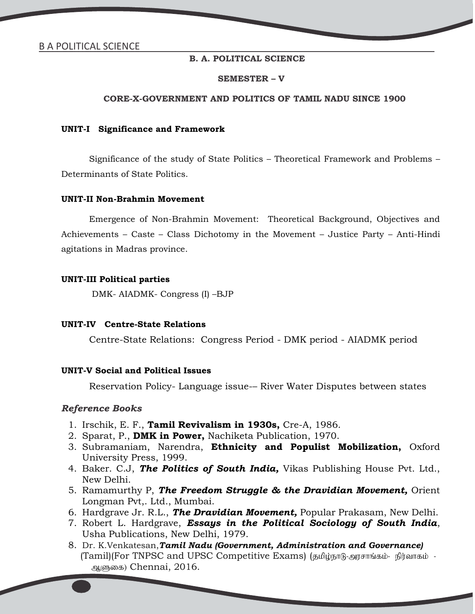#### **SEMESTER – V**

#### **CORE-X-GOVERNMENT AND POLITICS OF TAMIL NADU SINCE 1900**

#### **UNIT-I Significance and Framework**

Significance of the study of State Politics – Theoretical Framework and Problems – Determinants of State Politics.

#### **UNIT-II Non-Brahmin Movement**

Emergence of Non-Brahmin Movement: Theoretical Background, Objectives and Achievements – Caste – Class Dichotomy in the Movement – Justice Party – Anti-Hindi agitations in Madras province.

#### **UNIT-III Political parties**

DMK- AIADMK- Congress (I) –BJP

#### **UNIT-IV Centre-State Relations**

Centre-State Relations: Congress Period - DMK period - AIADMK period

#### **UNIT-V Social and Political Issues**

Reservation Policy- Language issue-– River Water Disputes between states

- 1. Irschik, E. F., **Tamil Revivalism in 1930s,** Cre-A, 1986.
- 2. Sparat, P., **DMK in Power,** Nachiketa Publication, 1970.
- 3. Subramaniam, Narendra, **Ethnicity and Populist Mobilization,** Oxford University Press, 1999.
- 4. Baker. C.J, *The Politics of South India,* Vikas Publishing House Pvt. Ltd., New Delhi.
- 5. Ramamurthy P, *The Freedom Struggle & the Dravidian Movement,* Orient Longman Pvt,. Ltd., Mumbai.
- 6. Hardgrave Jr. R.L., *The Dravidian Movement,* Popular Prakasam, New Delhi.
- 7. Robert L. Hardgrave, *Essays in the Political Sociology of South India*, Usha Publications, New Delhi, 1979.
- 8. Dr. K.Venkatesan,*Tamil Nadu (Government, Administration and Governance)* (Tamil)(For TNPSC and UPSC Competitive Exams) (தமிழ்நாடு-அரசாங்கம்- நிர்வாகம் -ஆளுகை) Chennai, 2016.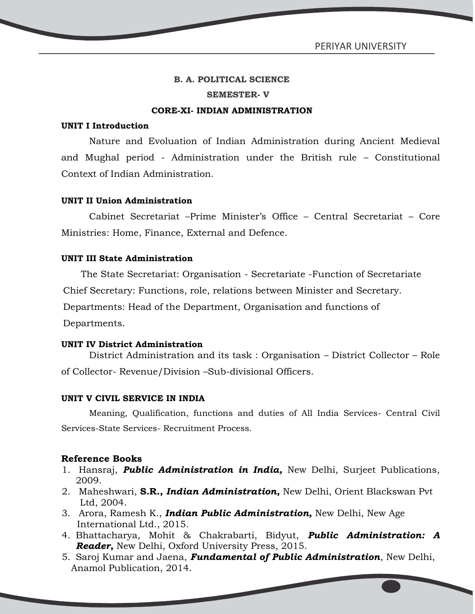#### **SEMESTER- V**

#### **CORE-XI- INDIAN ADMINISTRATION**

#### **UNIT I Introduction**

Nature and Evoluation of Indian Administration during Ancient Medieval and Mughal period - Administration under the British rule – Constitutional Context of Indian Administration.

#### **UNIT II Union Administration**

Cabinet Secretariat –Prime Minister's Office – Central Secretariat – Core Ministries: Home, Finance, External and Defence.

#### **UNIT III State Administration**

The State Secretariat: Organisation - Secretariate -Function of Secretariate Chief Secretary: Functions, role, relations between Minister and Secretary. Departments: Head of the Department, Organisation and functions of Departments.

#### **UNIT IV District Administration**

District Administration and its task : Organisation – District Collector – Role of Collector- Revenue/Division –Sub-divisional Officers.

#### **UNIT V CIVIL SERVICE IN INDIA**

Meaning, Qualification, functions and duties of All India Services- Central Civil Services-State Services- Recruitment Process.

- 1. Hansraj, *Public Administration in India,* New Delhi, Surjeet Publications, 2009.
- 2. Maheshwari, **S.R.,** *Indian Administration***,** New Delhi, Orient Blackswan Pvt Ltd, 2004.
- 3. Arora, Ramesh K., *Indian Public Administration,* New Delhi, New Age International Ltd., 2015.
- 4. Bhattacharya, Mohit & Chakrabarti, Bidyut, *Public Administration: A Reader***,** New Delhi, Oxford University Press, 2015.
- 5. Saroj Kumar and Jaena, *Fundamental of Public Administration*, New Delhi, Anamol Publication, 2014.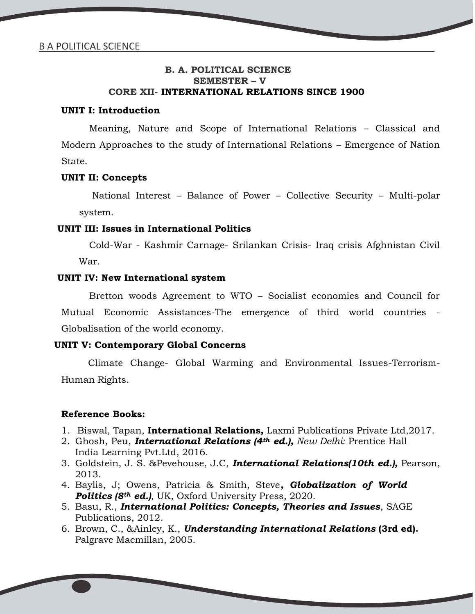#### **B. A. POLITICAL SCIENCE SEMESTER – V CORE XII- INTERNATIONAL RELATIONS SINCE 1900**

#### **UNIT I: Introduction**

Meaning, Nature and Scope of International Relations – Classical and Modern Approaches to the study of International Relations – Emergence of Nation State.

#### **UNIT II: Concepts**

National Interest – Balance of Power – Collective Security – Multi-polar system.

#### **UNIT III: Issues in International Politics**

Cold-War - Kashmir Carnage- Srilankan Crisis- Iraq crisis Afghnistan Civil War.

#### **UNIT IV: New International system**

Bretton woods Agreement to WTO – Socialist economies and Council for

Mutual Economic Assistances-The emergence of third world countries - Globalisation of the world economy.

#### **UNIT V: Contemporary Global Concerns**

Climate Change- Global Warming and Environmental Issues-Terrorism- Human Rights.

- 1. Biswal, Tapan, **International Relations,** Laxmi Publications Private Ltd,2017.
- 2. Ghosh, Peu, *International Relations (4th ed.), New Delhi:* Prentice Hall India Learning Pvt.Ltd, 2016.
- 3. Goldstein, J. S. &Pevehouse, J.C, *International Relations(10th ed.),* Pearson, 2013.
- 4. Baylis, J; Owens, Patricia & Smith, Steve*, Globalization of World Politics (8th ed.)*, UK, Oxford University Press, 2020.
- 5. Basu, R., *International Politics: Concepts, Theories and Issues*, SAGE Publications, 2012.
- 6. Brown, C., &Ainley, K., *Understanding International Relations* **(3rd ed).** Palgrave Macmillan, 2005.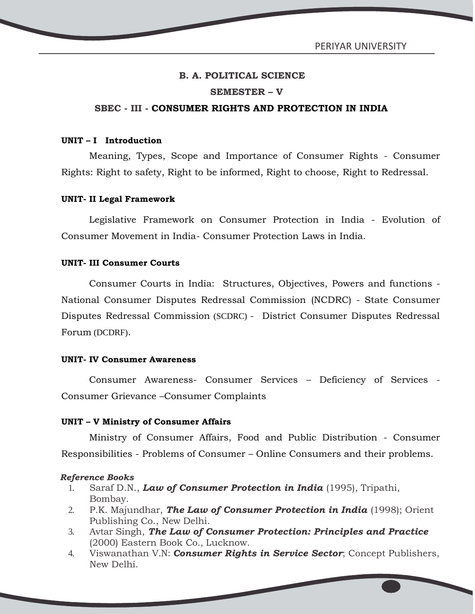PERIYAR UNIVERSITY

#### **B. A. POLITICAL SCIENCE**

#### **SEMESTER – V**

#### **SBEC - III - CONSUMER RIGHTS AND PROTECTION IN INDIA**

#### **UNIT – I Introduction**

Meaning, Types, Scope and Importance of Consumer Rights - Consumer Rights: Right to safety, Right to be informed, Right to choose, Right to Redressal.

#### **UNIT- II Legal Framework**

Legislative Framework on Consumer Protection in India - Evolution of Consumer Movement in India- Consumer Protection Laws in India.

#### **UNIT- III Consumer Courts**

Consumer Courts in India: Structures, Objectives, Powers and functions -National Consumer Disputes Redressal Commission (NCDRC) - State Consumer Disputes Redressal Commission (SCDRC) - District Consumer Disputes Redressal Forum (DCDRF).

#### **UNIT- IV Consumer Awareness**

Consumer Awareness- Consumer Services – Deficiency of Services - Consumer Grievance –Consumer Complaints

#### **UNIT – V Ministry of Consumer Affairs**

Ministry of Consumer Affairs, Food and Public Distribution - Consumer Responsibilities - Problems of Consumer – Online Consumers and their problems.

- 1. Saraf D.N., *Law of Consumer Protection in India* (1995), Tripathi, Bombay.
- 2. P.K. Majundhar, *The Law of Consumer Protection in India* (1998); Orient Publishing Co., New Delhi.
- 3. Avtar Singh, *The Law of Consumer Protection: Principles and Practice* (2000) Eastern Book Co., Lucknow.
- 4. Viswanathan V.N: *Consumer Rights in Service Sector*; Concept Publishers, New Delhi.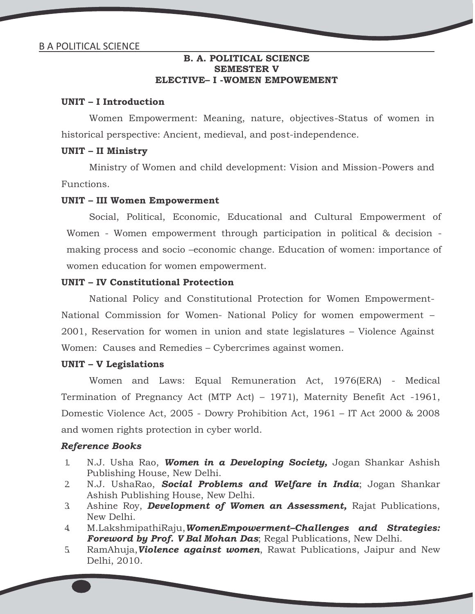#### **B. A. POLITICAL SCIENCE SEMESTER V ELECTIVE– I-WOMEN EMPOWEMENT**

#### **UNIT – I Introduction**

Women Empowerment: Meaning, nature, objectives-Status of women in historical perspective: Ancient, medieval, and post-independence.

#### **UNIT – II Ministry**

Ministry of Women and child development: Vision and Mission-Powers and Functions.

#### **UNIT – III Women Empowerment**

Social, Political, Economic, Educational and Cultural Empowerment of Women - Women empowerment through participation in political & decision making process and socio –economic change. Education of women: importance of women education for women empowerment.

#### **UNIT – IV Constitutional Protection**

National Policy and Constitutional Protection for Women Empowerment- National Commission for Women- National Policy for women empowerment – 2001, Reservation for women in union and state legislatures – Violence Against Women: Causes and Remedies – Cybercrimes against women.

#### **UNIT – V Legislations**

Women and Laws: Equal Remuneration Act, 1976(ERA) - Medical Termination of Pregnancy Act (MTP Act) – 1971), Maternity Benefit Act -1961, Domestic Violence Act, 2005 - Dowry Prohibition Act, 1961 –IT Act 2000 & 2008 and women rights protection in cyber world.

- 1. N.J. Usha Rao, *Women in a Developing Society,* Jogan Shankar Ashish Publishing House, New Delhi.
- 2. N.J. UshaRao, *Social Problems and Welfare in India*; Jogan Shankar Ashish Publishing House, New Delhi.
- 3. Ashine Roy, *Development of Women an Assessment,* Rajat Publications, New Delhi.
- 4. M.LakshmipathiRaju,*WomenEmpowerment–Challenges and Strategies: Foreword by Prof. V Bal Mohan Das*; Regal Publications, New Delhi.
- 5. RamAhuja,*Violence against women*, Rawat Publications, Jaipur and New Delhi, 2010.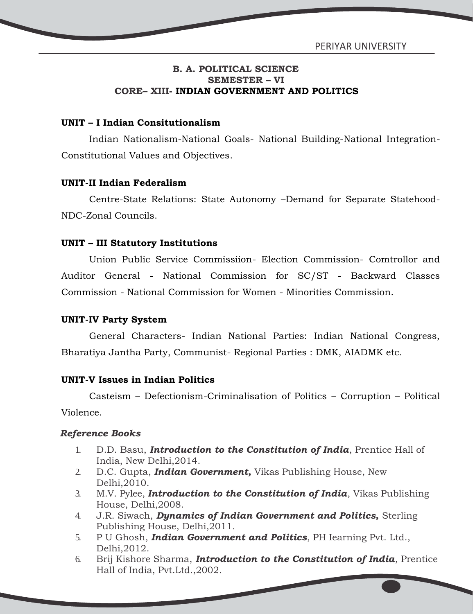#### **B. A. POLITICAL SCIENCE SEMESTER – VI CORE– XIII- INDIAN GOVERNMENT AND POLITICS**

#### **UNIT – I Indian Consitutionalism**

Indian Nationalism-National Goals- National Building-National Integration- Constitutional Values and Objectives.

#### **UNIT-II Indian Federalism**

Centre-State Relations: State Autonomy –Demand for Separate Statehood- NDC-Zonal Councils.

#### **UNIT – III Statutory Institutions**

Union Public Service Commissiion- Election Commission- Comtrollor and Auditor General - National Commission for SC/ST - Backward Classes Commission - National Commission for Women - Minorities Commission.

#### **UNIT-IV Party System**

General Characters- Indian National Parties: Indian National Congress, Bharatiya Jantha Party, Communist- Regional Parties : DMK, AIADMK etc.

#### **UNIT-V Issues in Indian Politics**

Casteism – Defectionism-Criminalisation of Politics – Corruption – Political Violence.

- 1. D.D. Basu, *Introduction to the Constitution of India*, Prentice Hall of India, New Delhi,2014.
- 2. D.C. Gupta, *Indian Government,* Vikas Publishing House, New Delhi,2010.
- 3. M.V. Pylee, *Introduction to the Constitution of India*, Vikas Publishing House, Delhi,2008.
- 4. J.R. Siwach, *Dynamics of Indian Government and Politics,* Sterling Publishing House, Delhi,2011.
- 5. P U Ghosh, *Indian Government and Politics*, PH Iearning Pvt. Ltd., Delhi,2012.
- 6. Brij Kishore Sharma, *Introduction to the Constitution of India*, Prentice Hall of India, Pvt.Ltd.,2002.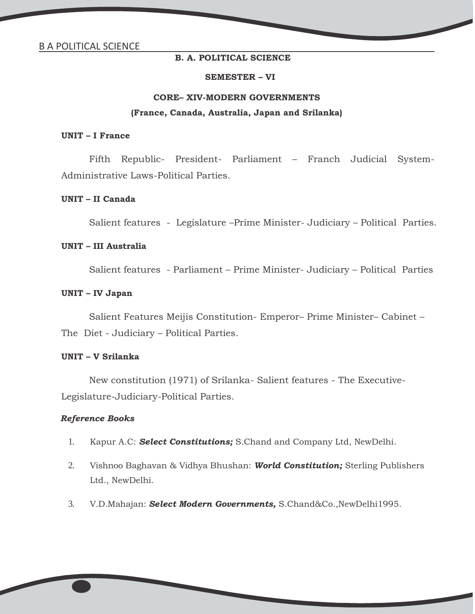#### **SEMESTER – VI**

## **CORE– XIV-MODERN GOVERNMENTS (France, Canada, Australia, Japan and Srilanka)**

#### **UNIT – IFrance**

Fifth Republic- President- Parliament – Franch Judicial System- Administrative Laws-Political Parties.

#### **UNIT – II Canada**

Salient features - Legislature –Prime Minister- Judiciary – Political Parties.

#### **UNIT – III Australia**

Salient features - Parliament – Prime Minister- Judiciary – Political Parties

#### **UNIT – IV Japan**

Salient Features Meijis Constitution- Emperor– Prime Minister– Cabinet – The Diet - Judiciary – Political Parties.

#### **UNIT – V Srilanka**

New constitution (1971) of Srilanka- Salient features - The Executive- Legislature-Judiciary-Political Parties.

- 1. Kapur A.C: *Select Constitutions;* S.Chand and Company Ltd, NewDelhi.
- 2. Vishnoo Baghavan & Vidhya Bhushan: *World Constitution;* Sterling Publishers Ltd., NewDelhi.
- 3. V.D.Mahajan: *Select Modern Governments,* S.Chand&Co.,NewDelhi1995.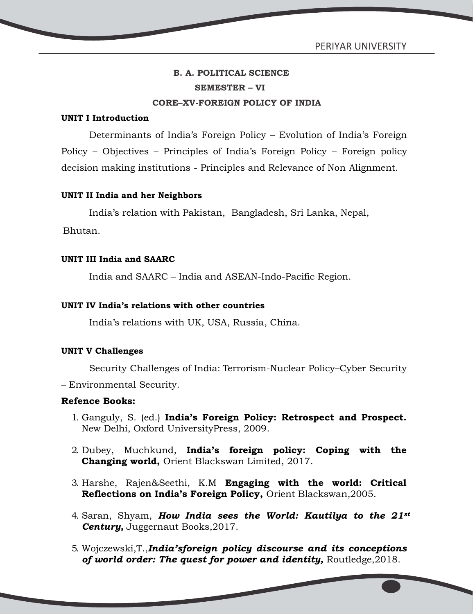PERIYAR UNIVERSITY

## **B. A. POLITICAL SCIENCE SEMESTER – VI CORE–XV-FOREIGN POLICY OF INDIA**

#### **UNIT I Introduction**

Determinants of India's Foreign Policy – Evolution of India's Foreign Policy – Objectives – Principles of India's Foreign Policy – Foreign policy decision making institutions - Principles and Relevance of Non Alignment.

#### **UNIT II India and her Neighbors**

India's relation with Pakistan, Bangladesh, Sri Lanka, Nepal,

Bhutan.

#### **UNIT III India and SAARC**

India and SAARC – India and ASEAN-Indo-Pacific Region.

#### **UNIT IV India's relations with other countries**

India's relations with UK, USA, Russia, China.

#### **UNIT V Challenges**

Security Challenges of India: Terrorism-Nuclear Policy–Cyber Security – Environmental Security.

#### **Refence Books:**

- 1. Ganguly, S. (ed.) **India's Foreign Policy: Retrospect and Prospect.** New Delhi, Oxford UniversityPress, 2009.
- 2. Dubey, Muchkund, **India's foreign policy: Coping with the Changing world,** Orient Blackswan Limited, 2017.
- 3. Harshe, Rajen&Seethi, K.M **Engaging with the world: Critical Reflections on India's Foreign Policy,** Orient Blackswan,2005.
- 4. Saran, Shyam, *How India sees the World: Kautilya to the 21st Century,* Juggernaut Books,2017.
- 5. Wojczewski,T.,*India'sforeign policy discourse and its conceptions of world order: The quest for power and identity,* Routledge,2018.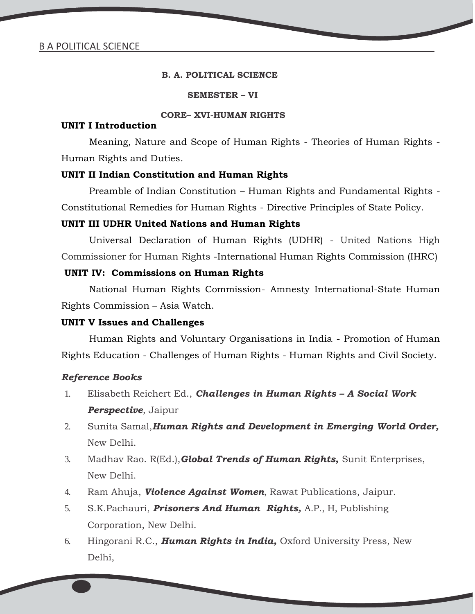#### **SEMESTER – VI**

#### **CORE– XVI-HUMAN RIGHTS**

#### **UNIT I Introduction**

Meaning, Nature and Scope of Human Rights - Theories of Human Rights -Human Rights and Duties.

#### **UNIT II Indian Constitution and Human Rights**

Preamble of Indian Constitution – Human Rights and Fundamental Rights - Constitutional Remedies for Human Rights - Directive Principles of State Policy.

#### **UNIT III UDHR United Nations and Human Rights**

Universal Declaration of Human Rights (UDHR) - United Nations High Commissioner for Human Rights -International Human Rights Commission (IHRC)

#### **UNIT IV: Commissions on Human Rights**

National Human Rights Commission- Amnesty International-State Human Rights Commission – Asia Watch.

#### **UNIT V Issues and Challenges**

Human Rights and Voluntary Organisations in India - Promotion of Human Rights Education - Challenges of Human Rights - Human Rights and Civil Society.

- 1. Elisabeth Reichert Ed., *Challenges in Human Rights – A Social Work Perspective*, Jaipur
- 2. Sunita Samal,*Human Rights and Development in Emerging World Order,* New Delhi.
- 3. Madhav Rao. R(Ed.),*Global Trends of Human Rights,* Sunit Enterprises, New Delhi.
- 4. Ram Ahuja, *Violence Against Women*, Rawat Publications, Jaipur.
- 5. S.K.Pachauri, *Prisoners And Human Rights,* A.P., H, Publishing Corporation, New Delhi.
- 6. Hingorani R.C., *Human Rights in India,* Oxford University Press, New Delhi,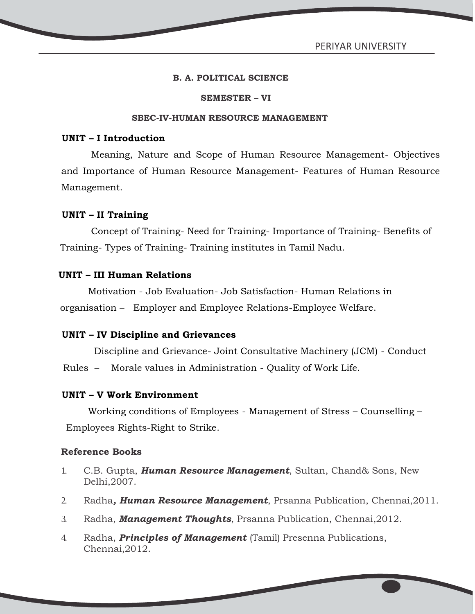#### **SEMESTER – VI**

#### **SBEC-IV-HUMAN RESOURCE MANAGEMENT**

#### **UNIT – I Introduction**

Meaning, Nature and Scope of Human Resource Management- Objectives and Importance of Human Resource Management- Features of Human Resource Management.

#### **UNIT – II Training**

Concept of Training- Need for Training- Importance of Training- Benefits of Training- Types of Training- Training institutes in Tamil Nadu.

#### **UNIT – III Human Relations**

Motivation - Job Evaluation- Job Satisfaction- Human Relations in

organisation – Employer and Employee Relations-Employee Welfare.

#### **UNIT – IV Discipline and Grievances**

Discipline and Grievance- Joint Consultative Machinery (JCM) - Conduct Rules – Morale values in Administration - Quality of Work Life.

#### **UNIT – V Work Environment**

Working conditions of Employees - Management of Stress – Counselling – Employees Rights-Right to Strike.

- 1. C.B. Gupta, *Human Resource Management*, Sultan, Chand& Sons, New Delhi,2007.
- 2. Radha*, Human Resource Management*, Prsanna Publication, Chennai,2011.
- 3. Radha, *Management Thoughts*, Prsanna Publication, Chennai,2012.
- 4. Radha, *Principles of Management* (Tamil) Presenna Publications, Chennai,2012.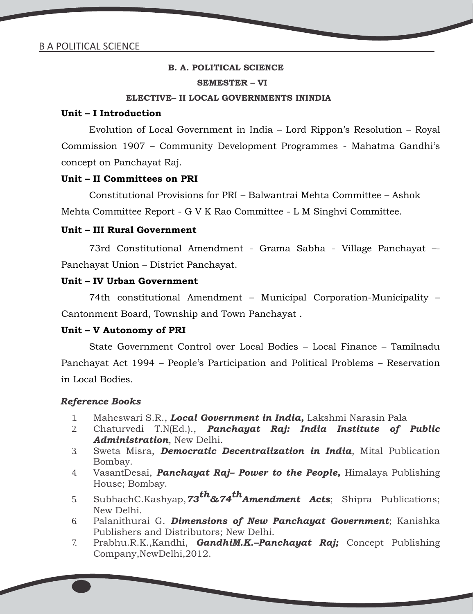### **B. A. POLITICAL SCIENCE SEMESTER – VI**

#### **ELECTIVE– II LOCAL GOVERNMENTS ININDIA**

#### **Unit – I Introduction**

Evolution of Local Government in India – Lord Rippon's Resolution – Royal Commission 1907 – Community Development Programmes - Mahatma Gandhi's concept on Panchayat Raj.

#### **Unit – II Committees on PRI**

Constitutional Provisions for PRI – Balwantrai Mehta Committee – Ashok Mehta Committee Report - G V K Rao Committee - L M Singhvi Committee.

#### **Unit – III Rural Government**

73rd Constitutional Amendment - Grama Sabha - Village Panchayat –- Panchayat Union – District Panchayat.

#### **Unit – IV Urban Government**

74th constitutional Amendment – Municipal Corporation-Municipality – Cantonment Board, Township and Town Panchayat .

#### **Unit – V Autonomy of PRI**

State Government Control over Local Bodies – Local Finance – Tamilnadu Panchayat Act 1994 – People's Participation and Political Problems – Reservation in Local Bodies.

- 1. Maheswari S.R., *Local Government in India,* Lakshmi Narasin Pala
- 2. Chaturvedi T.N(Ed.)., *Panchayat Raj: India Institute of Public Administration*, New Delhi.
- 3. Sweta Misra, *Democratic Decentralization in India*, Mital Publication Bombay.
- 4. VasantDesai, *Panchayat Raj– Power to the People,* Himalaya Publishing House; Bombay.
- 5. SubhachC.Kashyap,*73th&74thAmendment Acts*; Shipra Publications; New Delhi.
- 6. Palanithurai G. *Dimensions of New Panchayat Government*; Kanishka Publishers and Distributors; New Delhi.
- 7. Prabhu.R.K.,Kandhi, *GandhiM.K.–Panchayat Raj;* Concept Publishing Company,NewDelhi,2012.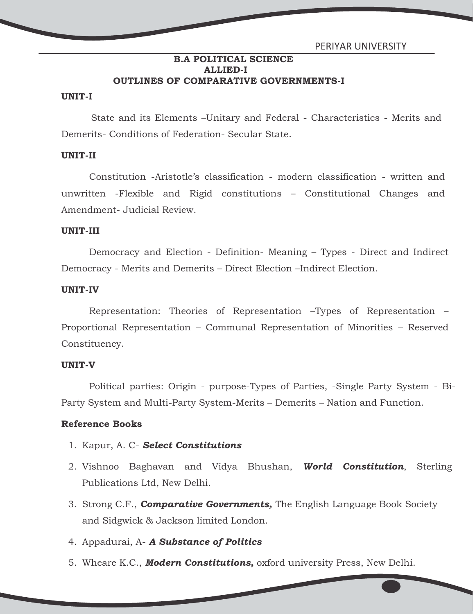#### **B.A POLITICAL SCIENCE ALLIED-I OUTLINES OF COMPARATIVE GOVERNMENTS-I**

#### **UNIT-I**

State and its Elements –Unitary and Federal - Characteristics - Merits and Demerits- Conditions of Federation- Secular State.

#### **UNIT-II**

Constitution -Aristotle's classification - modern classification - written and unwritten -Flexible and Rigid constitutions – Constitutional Changes and Amendment- Judicial Review.

#### **UNIT-III**

Democracy and Election - Definition- Meaning – Types - Direct and Indirect Democracy - Merits and Demerits – Direct Election –Indirect Election.

#### **UNIT-IV**

Representation: Theories of Representation –Types of Representation – Proportional Representation – Communal Representation of Minorities – Reserved Constituency.

#### **UNIT-V**

Political parties: Origin - purpose-Types of Parties, -Single Party System - Bi- Party System and Multi-Party System-Merits – Demerits – Nation and Function.

- 1. Kapur, A. C- *Select Constitutions*
- 2. Vishnoo Baghavan and Vidya Bhushan, *World Constitution*, Sterling Publications Ltd, New Delhi.
- 3. Strong C.F., *Comparative Governments,* The English Language Book Society and Sidgwick & Jackson limited London.
- 4. Appadurai, A- *A Substance of Politics*
- 5. Wheare K.C., *Modern Constitutions,* oxford university Press, New Delhi.